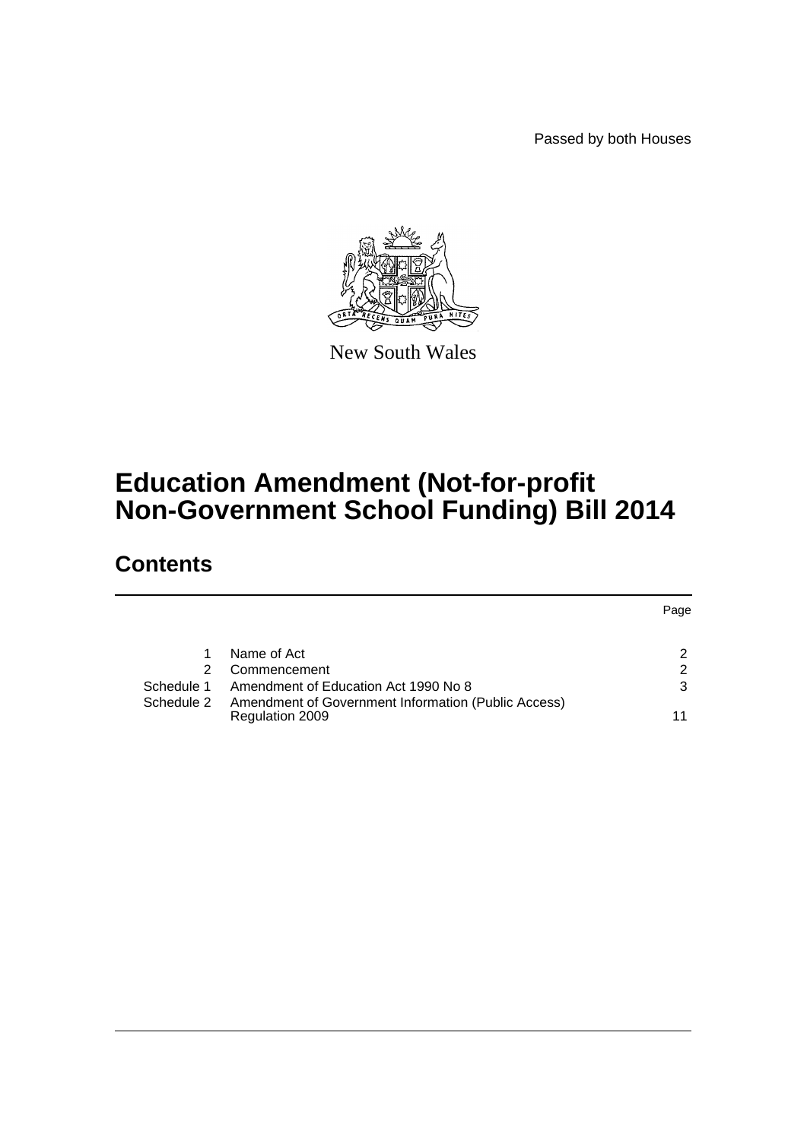Passed by both Houses



New South Wales

# **Education Amendment (Not-for-profit Non-Government School Funding) Bill 2014**

# **Contents**

|            |                                                                        | Page |
|------------|------------------------------------------------------------------------|------|
|            | Name of Act                                                            | 2    |
| 2.         | Commencement                                                           | 2    |
| Schedule 1 | Amendment of Education Act 1990 No 8                                   | 3    |
| Schedule 2 | Amendment of Government Information (Public Access)<br>Regulation 2009 | 11   |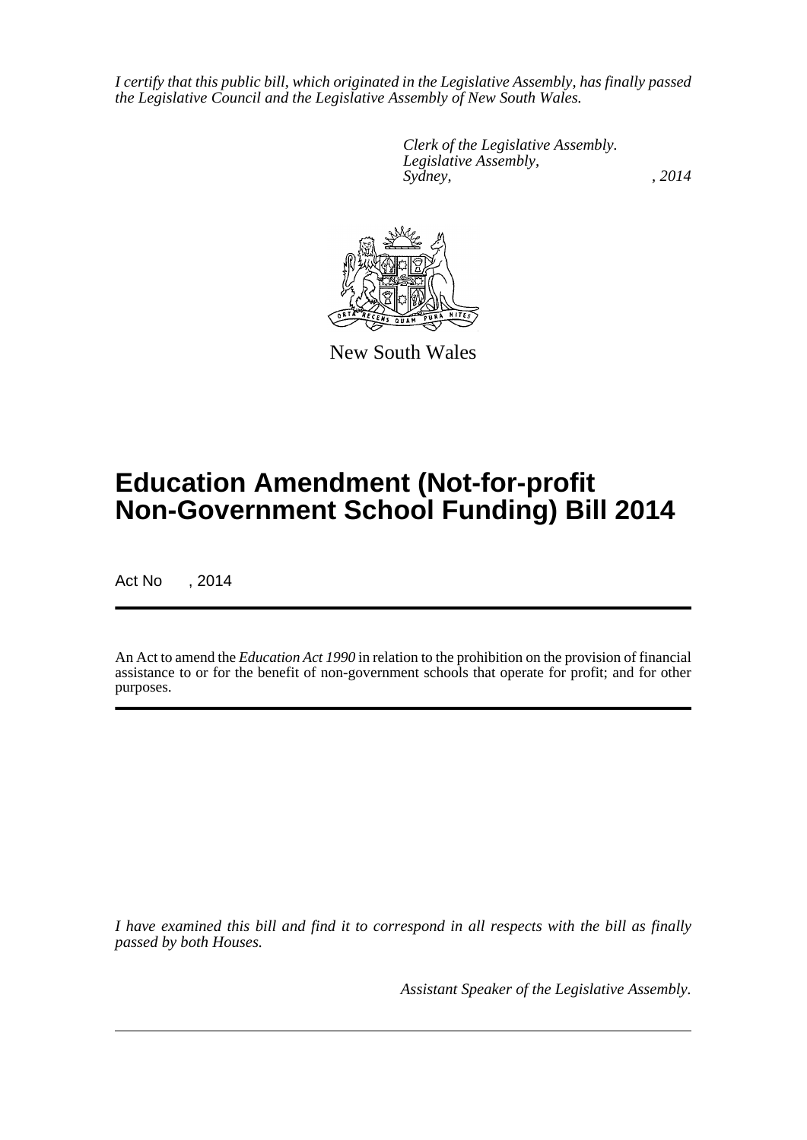*I certify that this public bill, which originated in the Legislative Assembly, has finally passed the Legislative Council and the Legislative Assembly of New South Wales.*

> *Clerk of the Legislative Assembly. Legislative Assembly, Sydney,* , 2014



New South Wales

# **Education Amendment (Not-for-profit Non-Government School Funding) Bill 2014**

Act No , 2014

An Act to amend the *Education Act 1990* in relation to the prohibition on the provision of financial assistance to or for the benefit of non-government schools that operate for profit; and for other purposes.

*I have examined this bill and find it to correspond in all respects with the bill as finally passed by both Houses.*

*Assistant Speaker of the Legislative Assembly.*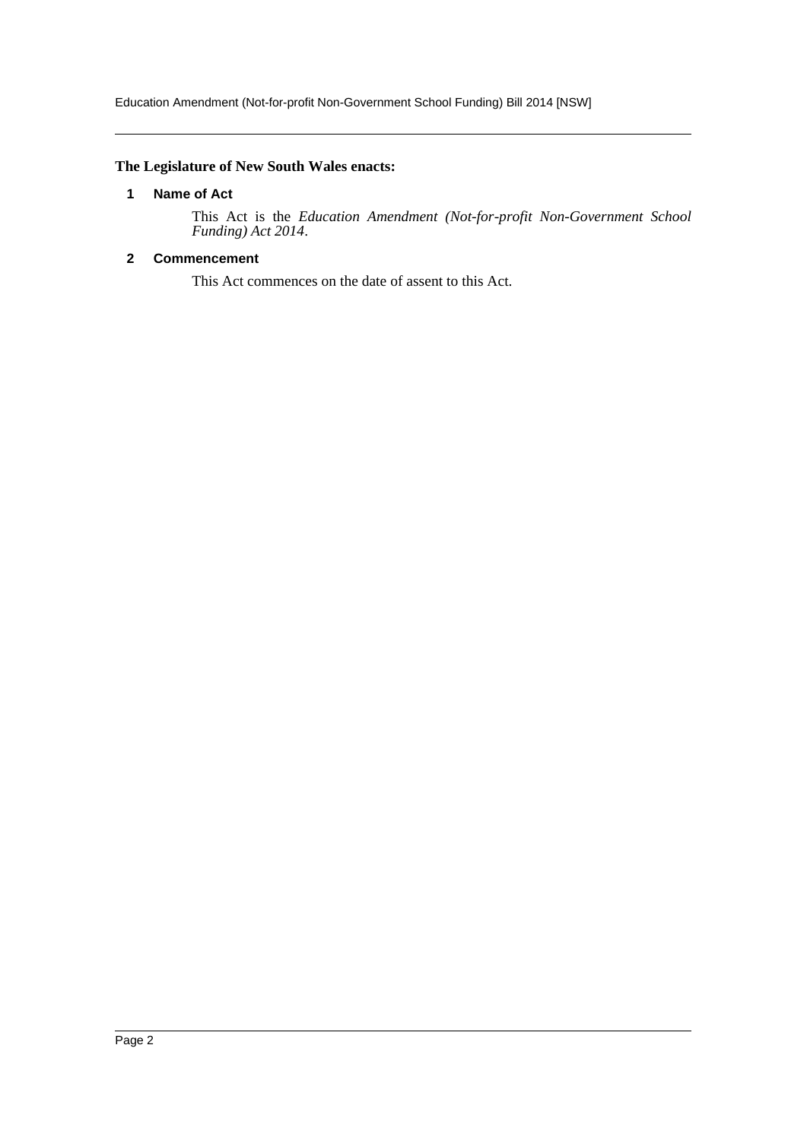# <span id="page-2-0"></span>**The Legislature of New South Wales enacts:**

### **1 Name of Act**

This Act is the *Education Amendment (Not-for-profit Non-Government School Funding) Act 2014*.

# <span id="page-2-1"></span>**2 Commencement**

This Act commences on the date of assent to this Act.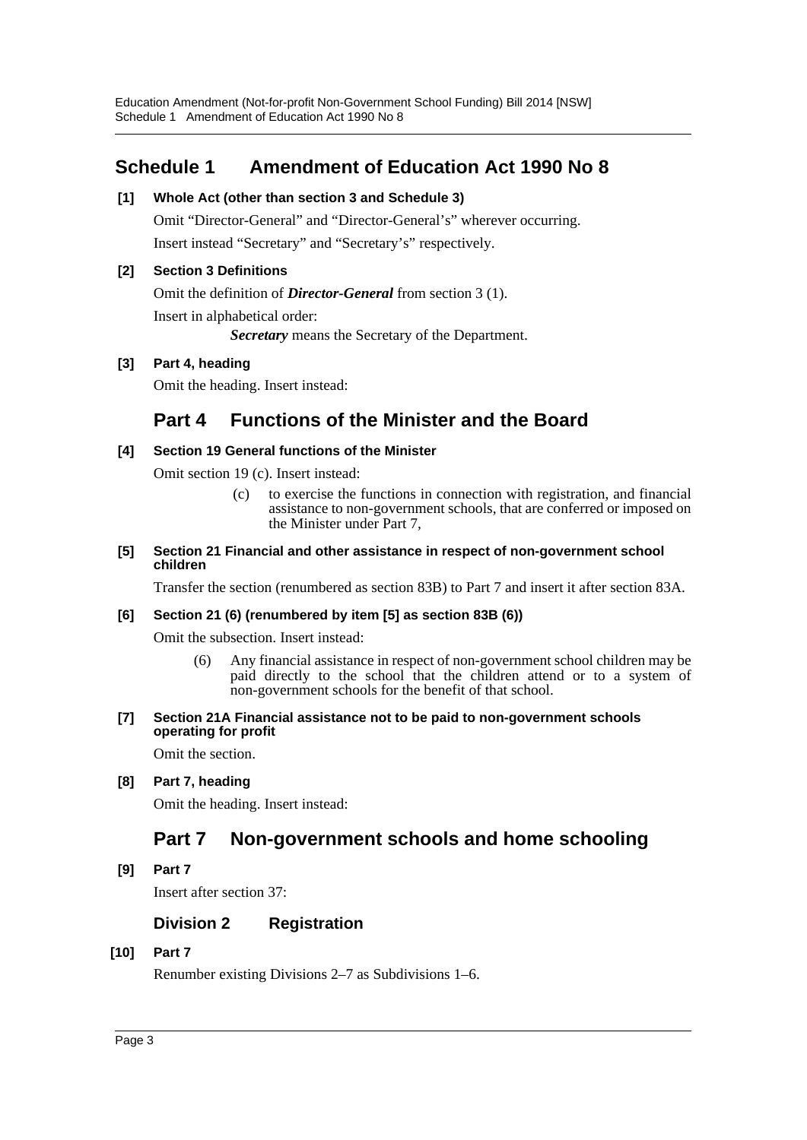# <span id="page-3-0"></span>**Schedule 1 Amendment of Education Act 1990 No 8**

# **[1] Whole Act (other than section 3 and Schedule 3)**

Omit "Director-General" and "Director-General's" wherever occurring. Insert instead "Secretary" and "Secretary's" respectively.

# **[2] Section 3 Definitions**

Omit the definition of *Director-General* from section 3 (1).

Insert in alphabetical order:

*Secretary* means the Secretary of the Department.

# **[3] Part 4, heading**

Omit the heading. Insert instead:

# **Part 4 Functions of the Minister and the Board**

# **[4] Section 19 General functions of the Minister**

Omit section 19 (c). Insert instead:

(c) to exercise the functions in connection with registration, and financial assistance to non-government schools, that are conferred or imposed on the Minister under Part 7,

#### **[5] Section 21 Financial and other assistance in respect of non-government school children**

Transfer the section (renumbered as section 83B) to Part 7 and insert it after section 83A.

# **[6] Section 21 (6) (renumbered by item [5] as section 83B (6))**

Omit the subsection. Insert instead:

- (6) Any financial assistance in respect of non-government school children may be paid directly to the school that the children attend or to a system of non-government schools for the benefit of that school.
- **[7] Section 21A Financial assistance not to be paid to non-government schools operating for profit**

Omit the section.

**[8] Part 7, heading**

Omit the heading. Insert instead:

# **Part 7 Non-government schools and home schooling**

**[9] Part 7**

Insert after section 37:

# **Division 2 Registration**

# **[10] Part 7**

Renumber existing Divisions 2–7 as Subdivisions 1–6.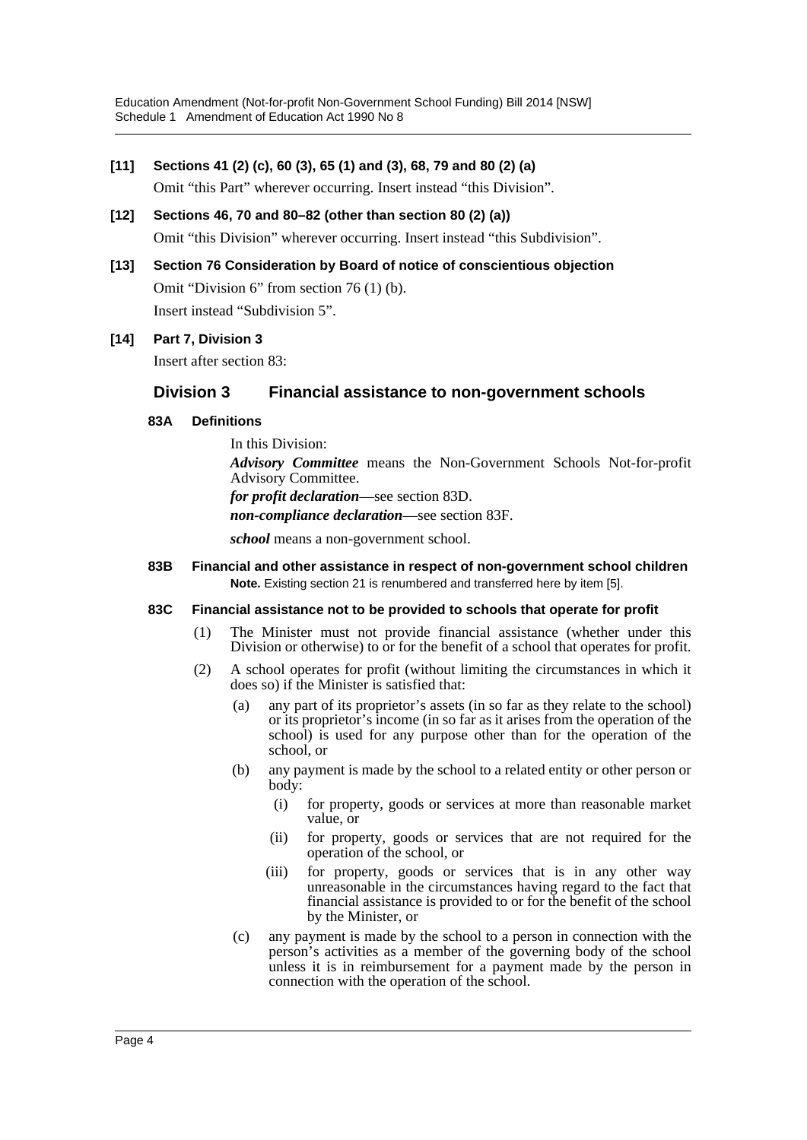## **[11] Sections 41 (2) (c), 60 (3), 65 (1) and (3), 68, 79 and 80 (2) (a)**

Omit "this Part" wherever occurring. Insert instead "this Division".

- **[12] Sections 46, 70 and 80–82 (other than section 80 (2) (a))** Omit "this Division" wherever occurring. Insert instead "this Subdivision".
- **[13] Section 76 Consideration by Board of notice of conscientious objection** Omit "Division 6" from section 76 (1) (b). Insert instead "Subdivision 5".

## **[14] Part 7, Division 3**

Insert after section 83:

# **Division 3 Financial assistance to non-government schools**

## **83A Definitions**

In this Division: *Advisory Committee* means the Non-Government Schools Not-for-profit Advisory Committee. *for profit declaration*—see section 83D. *non-compliance declaration*—see section 83F. *school* means a non-government school.

## **83B Financial and other assistance in respect of non-government school children Note.** Existing section 21 is renumbered and transferred here by item [5].

#### **83C Financial assistance not to be provided to schools that operate for profit**

- (1) The Minister must not provide financial assistance (whether under this Division or otherwise) to or for the benefit of a school that operates for profit.
- (2) A school operates for profit (without limiting the circumstances in which it does so) if the Minister is satisfied that:
	- (a) any part of its proprietor's assets (in so far as they relate to the school) or its proprietor's income (in so far as it arises from the operation of the school) is used for any purpose other than for the operation of the school, or
	- (b) any payment is made by the school to a related entity or other person or body:
		- (i) for property, goods or services at more than reasonable market value, or
		- (ii) for property, goods or services that are not required for the operation of the school, or
		- (iii) for property, goods or services that is in any other way unreasonable in the circumstances having regard to the fact that financial assistance is provided to or for the benefit of the school by the Minister, or
	- (c) any payment is made by the school to a person in connection with the person's activities as a member of the governing body of the school unless it is in reimbursement for a payment made by the person in connection with the operation of the school.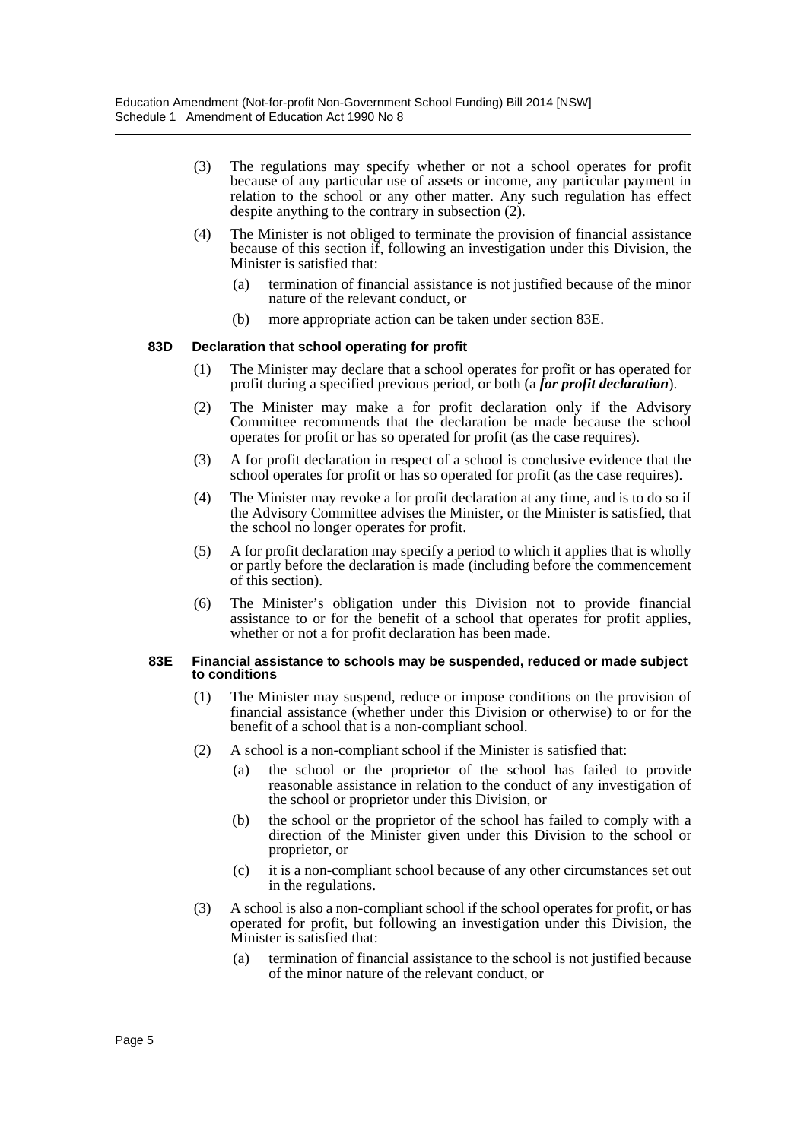- (3) The regulations may specify whether or not a school operates for profit because of any particular use of assets or income, any particular payment in relation to the school or any other matter. Any such regulation has effect despite anything to the contrary in subsection (2).
- (4) The Minister is not obliged to terminate the provision of financial assistance because of this section if, following an investigation under this Division, the Minister is satisfied that:
	- (a) termination of financial assistance is not justified because of the minor nature of the relevant conduct, or
	- (b) more appropriate action can be taken under section 83E.

#### **83D Declaration that school operating for profit**

- (1) The Minister may declare that a school operates for profit or has operated for profit during a specified previous period, or both (a *for profit declaration*).
- (2) The Minister may make a for profit declaration only if the Advisory Committee recommends that the declaration be made because the school operates for profit or has so operated for profit (as the case requires).
- (3) A for profit declaration in respect of a school is conclusive evidence that the school operates for profit or has so operated for profit (as the case requires).
- (4) The Minister may revoke a for profit declaration at any time, and is to do so if the Advisory Committee advises the Minister, or the Minister is satisfied, that the school no longer operates for profit.
- (5) A for profit declaration may specify a period to which it applies that is wholly or partly before the declaration is made (including before the commencement of this section).
- (6) The Minister's obligation under this Division not to provide financial assistance to or for the benefit of a school that operates for profit applies, whether or not a for profit declaration has been made.

#### **83E Financial assistance to schools may be suspended, reduced or made subject to conditions**

- (1) The Minister may suspend, reduce or impose conditions on the provision of financial assistance (whether under this Division or otherwise) to or for the benefit of a school that is a non-compliant school.
- (2) A school is a non-compliant school if the Minister is satisfied that:
	- (a) the school or the proprietor of the school has failed to provide reasonable assistance in relation to the conduct of any investigation of the school or proprietor under this Division, or
	- (b) the school or the proprietor of the school has failed to comply with a direction of the Minister given under this Division to the school or proprietor, or
	- (c) it is a non-compliant school because of any other circumstances set out in the regulations.
- (3) A school is also a non-compliant school if the school operates for profit, or has operated for profit, but following an investigation under this Division, the Minister is satisfied that:
	- (a) termination of financial assistance to the school is not justified because of the minor nature of the relevant conduct, or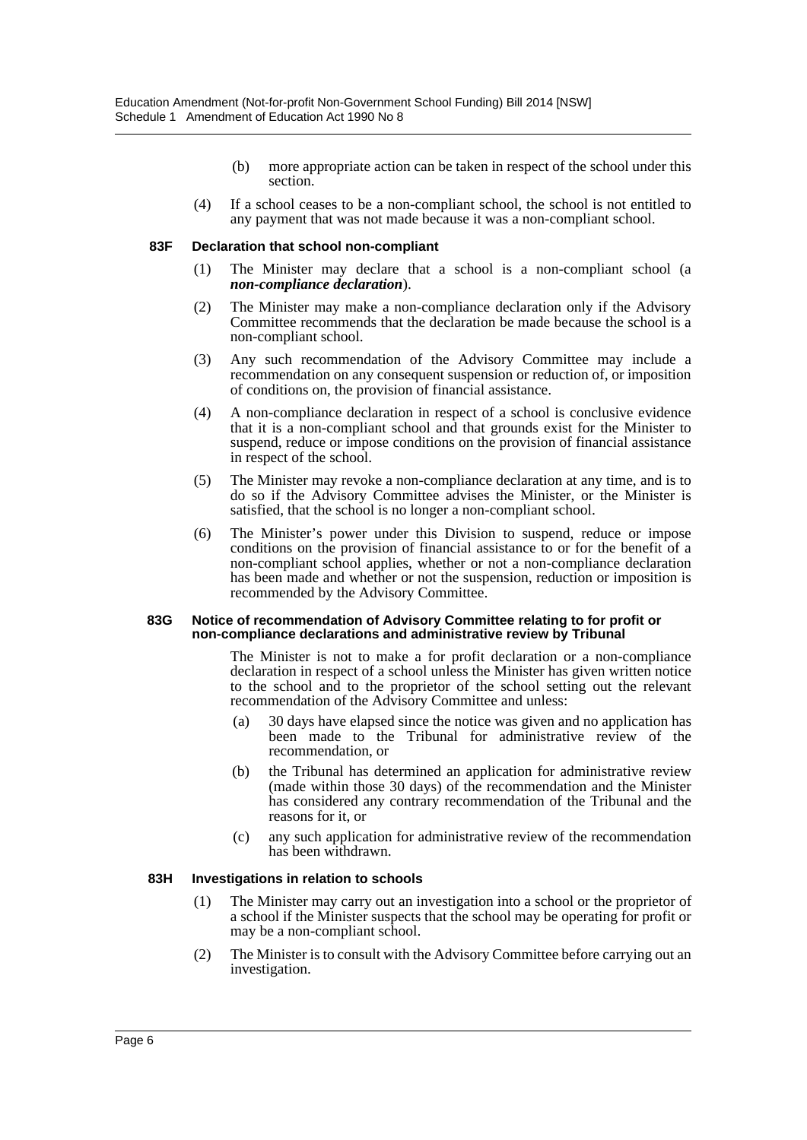- (b) more appropriate action can be taken in respect of the school under this section.
- (4) If a school ceases to be a non-compliant school, the school is not entitled to any payment that was not made because it was a non-compliant school.

#### **83F Declaration that school non-compliant**

- (1) The Minister may declare that a school is a non-compliant school (a *non-compliance declaration*).
- (2) The Minister may make a non-compliance declaration only if the Advisory Committee recommends that the declaration be made because the school is a non-compliant school.
- (3) Any such recommendation of the Advisory Committee may include a recommendation on any consequent suspension or reduction of, or imposition of conditions on, the provision of financial assistance.
- (4) A non-compliance declaration in respect of a school is conclusive evidence that it is a non-compliant school and that grounds exist for the Minister to suspend, reduce or impose conditions on the provision of financial assistance in respect of the school.
- (5) The Minister may revoke a non-compliance declaration at any time, and is to do so if the Advisory Committee advises the Minister, or the Minister is satisfied, that the school is no longer a non-compliant school.
- (6) The Minister's power under this Division to suspend, reduce or impose conditions on the provision of financial assistance to or for the benefit of a non-compliant school applies, whether or not a non-compliance declaration has been made and whether or not the suspension, reduction or imposition is recommended by the Advisory Committee.

#### **83G Notice of recommendation of Advisory Committee relating to for profit or non-compliance declarations and administrative review by Tribunal**

The Minister is not to make a for profit declaration or a non-compliance declaration in respect of a school unless the Minister has given written notice to the school and to the proprietor of the school setting out the relevant recommendation of the Advisory Committee and unless:

- (a) 30 days have elapsed since the notice was given and no application has been made to the Tribunal for administrative review of the recommendation, or
- (b) the Tribunal has determined an application for administrative review (made within those 30 days) of the recommendation and the Minister has considered any contrary recommendation of the Tribunal and the reasons for it, or
- (c) any such application for administrative review of the recommendation has been withdrawn.

#### **83H Investigations in relation to schools**

- (1) The Minister may carry out an investigation into a school or the proprietor of a school if the Minister suspects that the school may be operating for profit or may be a non-compliant school.
- (2) The Minister is to consult with the Advisory Committee before carrying out an investigation.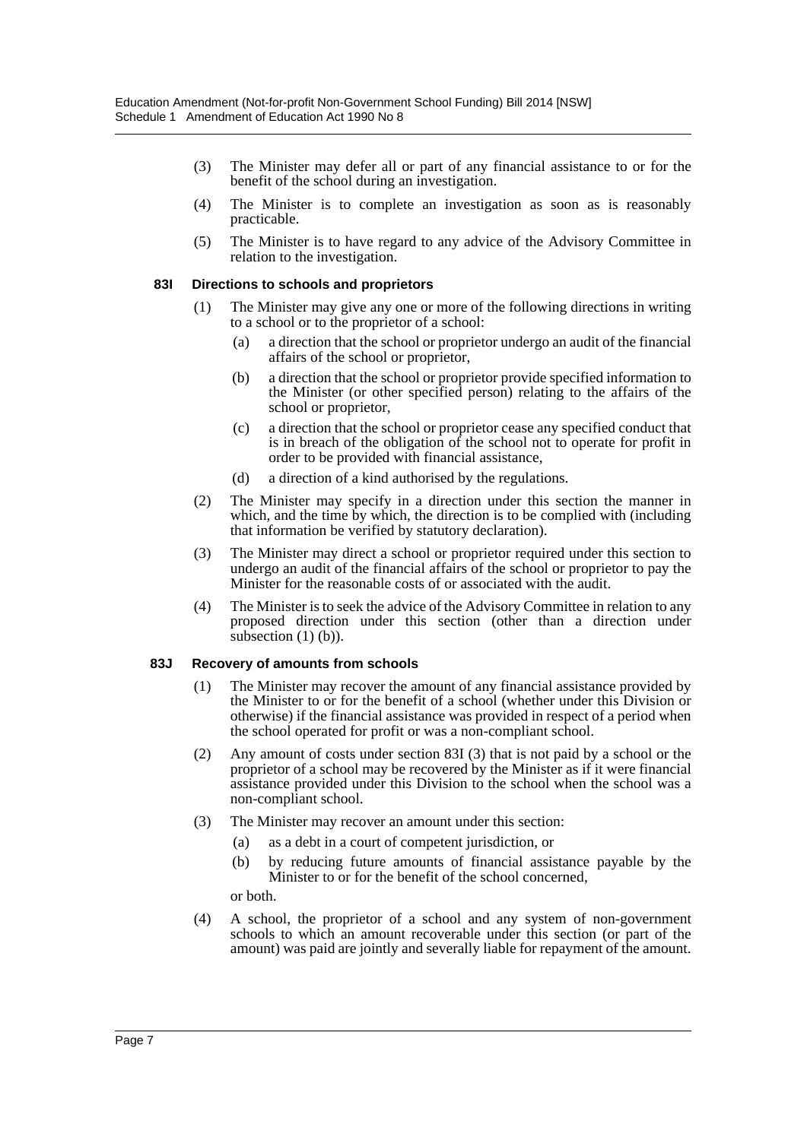- (3) The Minister may defer all or part of any financial assistance to or for the benefit of the school during an investigation.
- (4) The Minister is to complete an investigation as soon as is reasonably practicable.
- (5) The Minister is to have regard to any advice of the Advisory Committee in relation to the investigation.

#### **83I Directions to schools and proprietors**

- (1) The Minister may give any one or more of the following directions in writing to a school or to the proprietor of a school:
	- (a) a direction that the school or proprietor undergo an audit of the financial affairs of the school or proprietor,
	- (b) a direction that the school or proprietor provide specified information to the Minister (or other specified person) relating to the affairs of the school or proprietor,
	- (c) a direction that the school or proprietor cease any specified conduct that is in breach of the obligation of the school not to operate for profit in order to be provided with financial assistance,
	- (d) a direction of a kind authorised by the regulations.
- (2) The Minister may specify in a direction under this section the manner in which, and the time by which, the direction is to be complied with (including that information be verified by statutory declaration).
- (3) The Minister may direct a school or proprietor required under this section to undergo an audit of the financial affairs of the school or proprietor to pay the Minister for the reasonable costs of or associated with the audit.
- (4) The Minister is to seek the advice of the Advisory Committee in relation to any proposed direction under this section (other than a direction under subsection  $(1)$   $(b)$ ).

#### **83J Recovery of amounts from schools**

- (1) The Minister may recover the amount of any financial assistance provided by the Minister to or for the benefit of a school (whether under this Division or otherwise) if the financial assistance was provided in respect of a period when the school operated for profit or was a non-compliant school.
- (2) Any amount of costs under section 83I (3) that is not paid by a school or the proprietor of a school may be recovered by the Minister as if it were financial assistance provided under this Division to the school when the school was a non-compliant school.
- (3) The Minister may recover an amount under this section:
	- (a) as a debt in a court of competent jurisdiction, or
	- (b) by reducing future amounts of financial assistance payable by the Minister to or for the benefit of the school concerned,

or both.

(4) A school, the proprietor of a school and any system of non-government schools to which an amount recoverable under this section (or part of the amount) was paid are jointly and severally liable for repayment of the amount.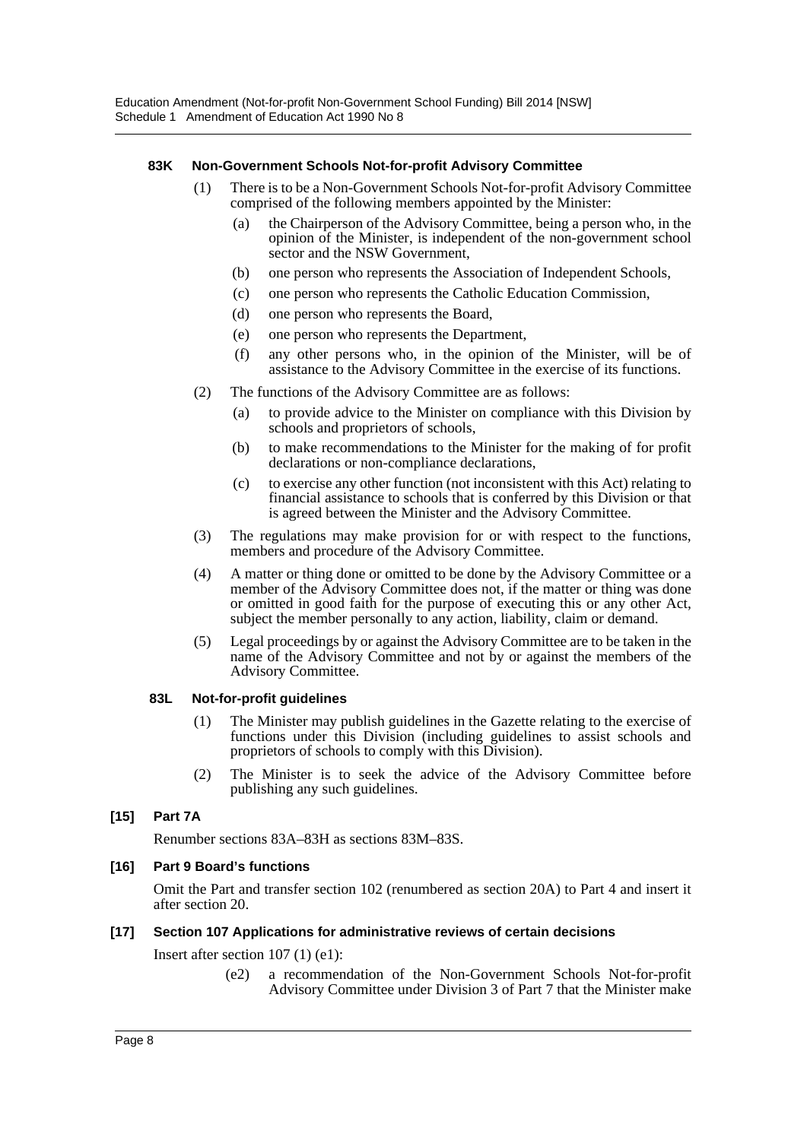## **83K Non-Government Schools Not-for-profit Advisory Committee**

- (1) There is to be a Non-Government Schools Not-for-profit Advisory Committee comprised of the following members appointed by the Minister:
	- (a) the Chairperson of the Advisory Committee, being a person who, in the opinion of the Minister, is independent of the non-government school sector and the NSW Government,
	- (b) one person who represents the Association of Independent Schools,
	- (c) one person who represents the Catholic Education Commission,
	- (d) one person who represents the Board,
	- (e) one person who represents the Department,
	- (f) any other persons who, in the opinion of the Minister, will be of assistance to the Advisory Committee in the exercise of its functions.
- (2) The functions of the Advisory Committee are as follows:
	- (a) to provide advice to the Minister on compliance with this Division by schools and proprietors of schools,
	- (b) to make recommendations to the Minister for the making of for profit declarations or non-compliance declarations,
	- (c) to exercise any other function (not inconsistent with this Act) relating to financial assistance to schools that is conferred by this Division or that is agreed between the Minister and the Advisory Committee.
- (3) The regulations may make provision for or with respect to the functions, members and procedure of the Advisory Committee.
- (4) A matter or thing done or omitted to be done by the Advisory Committee or a member of the Advisory Committee does not, if the matter or thing was done or omitted in good faith for the purpose of executing this or any other Act, subject the member personally to any action, liability, claim or demand.
- (5) Legal proceedings by or against the Advisory Committee are to be taken in the name of the Advisory Committee and not by or against the members of the Advisory Committee.

#### **83L Not-for-profit guidelines**

- (1) The Minister may publish guidelines in the Gazette relating to the exercise of functions under this Division (including guidelines to assist schools and proprietors of schools to comply with this Division).
- (2) The Minister is to seek the advice of the Advisory Committee before publishing any such guidelines.

# **[15] Part 7A**

Renumber sections 83A–83H as sections 83M–83S.

#### **[16] Part 9 Board's functions**

Omit the Part and transfer section 102 (renumbered as section 20A) to Part 4 and insert it after section 20.

#### **[17] Section 107 Applications for administrative reviews of certain decisions**

Insert after section 107 (1) (e1):

(e2) a recommendation of the Non-Government Schools Not-for-profit Advisory Committee under Division 3 of Part 7 that the Minister make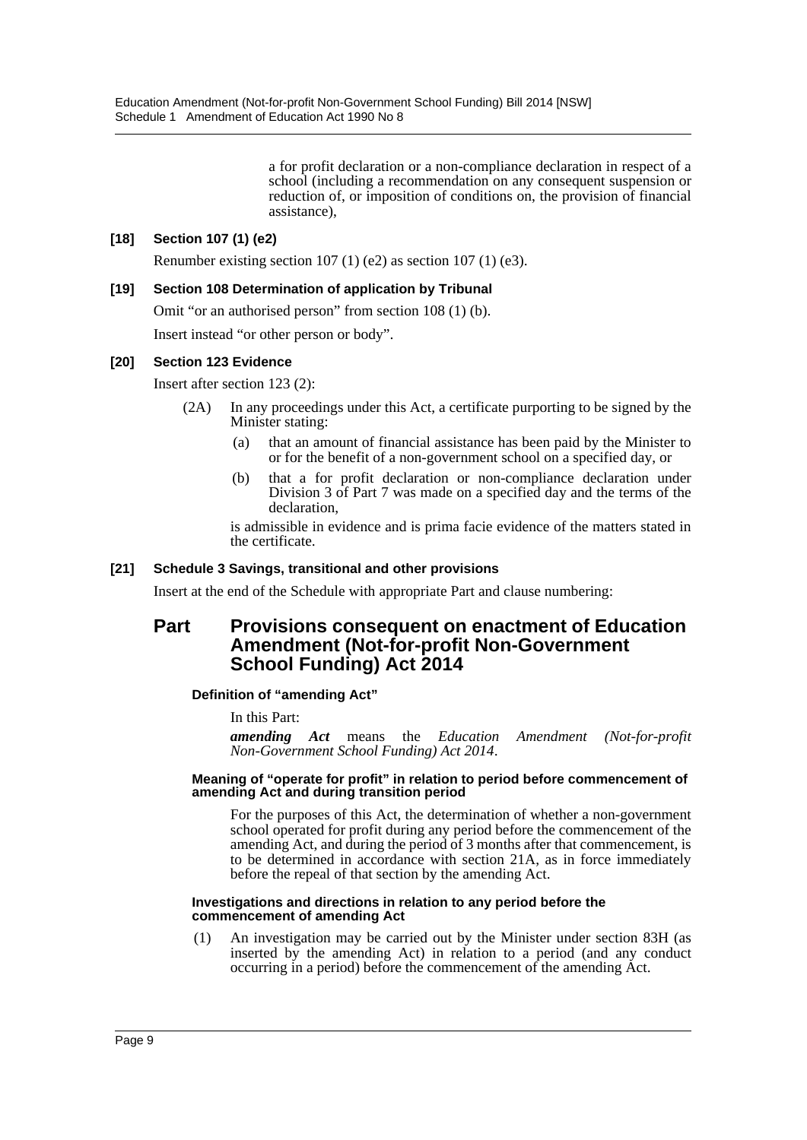a for profit declaration or a non-compliance declaration in respect of a school (including a recommendation on any consequent suspension or reduction of, or imposition of conditions on, the provision of financial assistance),

# **[18] Section 107 (1) (e2)**

Renumber existing section  $107 (1) (e2)$  as section  $107 (1) (e3)$ .

## **[19] Section 108 Determination of application by Tribunal**

Omit "or an authorised person" from section 108 (1) (b).

Insert instead "or other person or body".

#### **[20] Section 123 Evidence**

Insert after section 123 (2):

- (2A) In any proceedings under this Act, a certificate purporting to be signed by the Minister stating:
	- (a) that an amount of financial assistance has been paid by the Minister to or for the benefit of a non-government school on a specified day, or
	- (b) that a for profit declaration or non-compliance declaration under Division 3 of Part 7 was made on a specified day and the terms of the declaration,

is admissible in evidence and is prima facie evidence of the matters stated in the certificate.

## **[21] Schedule 3 Savings, transitional and other provisions**

Insert at the end of the Schedule with appropriate Part and clause numbering:

# **Part Provisions consequent on enactment of Education Amendment (Not-for-profit Non-Government School Funding) Act 2014**

#### **Definition of "amending Act"**

In this Part:

*amending Act* means the *Education Amendment (Not-for-profit Non-Government School Funding) Act 2014*.

#### **Meaning of "operate for profit" in relation to period before commencement of amending Act and during transition period**

For the purposes of this Act, the determination of whether a non-government school operated for profit during any period before the commencement of the amending Act, and during the period of 3 months after that commencement, is to be determined in accordance with section 21A, as in force immediately before the repeal of that section by the amending Act.

#### **Investigations and directions in relation to any period before the commencement of amending Act**

(1) An investigation may be carried out by the Minister under section 83H (as inserted by the amending Act) in relation to a period (and any conduct occurring in a period) before the commencement of the amending Act.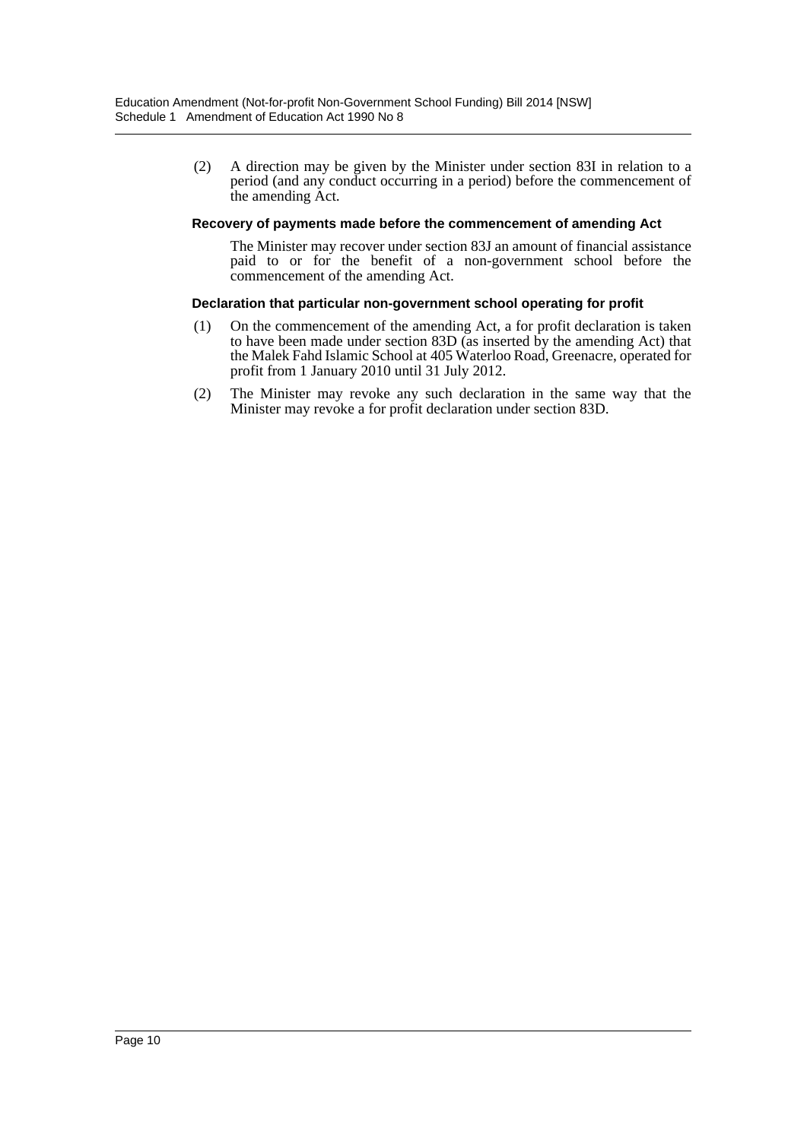(2) A direction may be given by the Minister under section 83I in relation to a period (and any conduct occurring in a period) before the commencement of the amending Act.

#### **Recovery of payments made before the commencement of amending Act**

The Minister may recover under section 83J an amount of financial assistance paid to or for the benefit of a non-government school before the commencement of the amending Act.

#### **Declaration that particular non-government school operating for profit**

- (1) On the commencement of the amending Act, a for profit declaration is taken to have been made under section 83D (as inserted by the amending Act) that the Malek Fahd Islamic School at 405 Waterloo Road, Greenacre, operated for profit from 1 January 2010 until 31 July 2012.
- (2) The Minister may revoke any such declaration in the same way that the Minister may revoke a for profit declaration under section 83D.